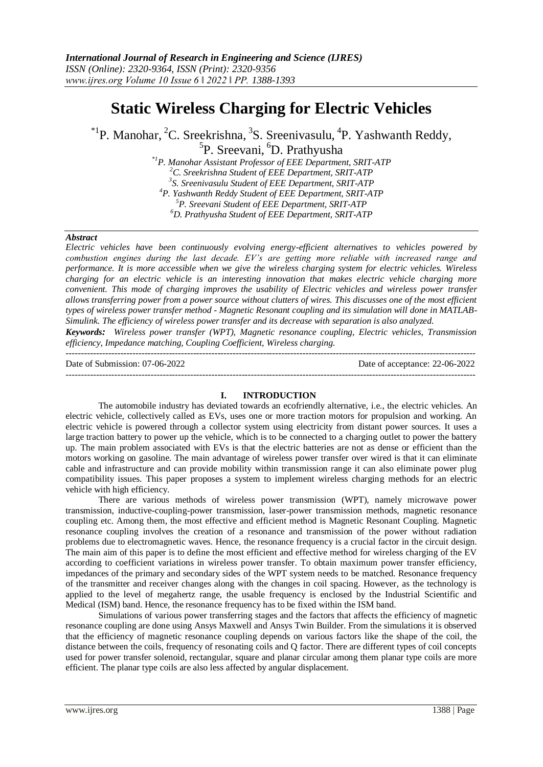# **Static Wireless Charging for Electric Vehicles**

<sup>\*1</sup>P. Manohar, <sup>2</sup>C. Sreekrishna, <sup>3</sup>S. Sreenivasulu, <sup>4</sup>P. Yashwanth Reddy, <sup>5</sup>P. Sreevani, <sup>6</sup>D. Prathyusha

*\*1P. Manohar Assistant Professor of EEE Department, SRIT-ATP C. Sreekrishna Student of EEE Department, SRIT-ATP S. Sreenivasulu Student of EEE Department, SRIT-ATP P. Yashwanth Reddy Student of EEE Department, SRIT-ATP P. Sreevani Student of EEE Department, SRIT-ATP D. Prathyusha Student of EEE Department, SRIT-ATP*

#### *Abstract*

*Electric vehicles have been continuously evolving energy-efficient alternatives to vehicles powered by combustion engines during the last decade. EV's are getting more reliable with increased range and performance. It is more accessible when we give the wireless charging system for electric vehicles. Wireless charging for an electric vehicle is an interesting innovation that makes electric vehicle charging more convenient. This mode of charging improves the usability of Electric vehicles and wireless power transfer allows transferring power from a power source without clutters of wires. This discusses one of the most efficient types of wireless power transfer method - Magnetic Resonant coupling and its simulation will done in MATLAB-Simulink. The efficiency of wireless power transfer and its decrease with separation is also analyzed.*

*Keywords: Wireless power transfer (WPT), Magnetic resonance coupling, Electric vehicles, Transmission efficiency, Impedance matching, Coupling Coefficient, Wireless charging.* ---------------------------------------------------------------------------------------------------------------------------------------

Date of Submission: 07-06-2022 Date of acceptance: 22-06-2022 ---------------------------------------------------------------------------------------------------------------------------------------

#### **I. INTRODUCTION**

The automobile industry has deviated towards an ecofriendly alternative, i.e., the electric vehicles. An electric vehicle, collectively called as EVs, uses one or more traction motors for propulsion and working. An electric vehicle is powered through a collector system using electricity from distant power sources. It uses a large traction battery to power up the vehicle, which is to be connected to a charging outlet to power the battery up. The main problem associated with EVs is that the electric batteries are not as dense or efficient than the motors working on gasoline. The main advantage of wireless power transfer over wired is that it can eliminate cable and infrastructure and can provide mobility within transmission range it can also eliminate power plug compatibility issues. This paper proposes a system to implement wireless charging methods for an electric vehicle with high efficiency.

There are various methods of wireless power transmission (WPT), namely microwave power transmission, inductive-coupling-power transmission, laser-power transmission methods, magnetic resonance coupling etc. Among them, the most effective and efficient method is Magnetic Resonant Coupling. Magnetic resonance coupling involves the creation of a resonance and transmission of the power without radiation problems due to electromagnetic waves. Hence, the resonance frequency is a crucial factor in the circuit design. The main aim of this paper is to define the most efficient and effective method for wireless charging of the EV according to coefficient variations in wireless power transfer. To obtain maximum power transfer efficiency, impedances of the primary and secondary sides of the WPT system needs to be matched. Resonance frequency of the transmitter and receiver changes along with the changes in coil spacing. However, as the technology is applied to the level of megahertz range, the usable frequency is enclosed by the Industrial Scientific and Medical (ISM) band. Hence, the resonance frequency has to be fixed within the ISM band.

Simulations of various power transferring stages and the factors that affects the efficiency of magnetic resonance coupling are done using Ansys Maxwell and Ansys Twin Builder. From the simulations it is observed that the efficiency of magnetic resonance coupling depends on various factors like the shape of the coil, the distance between the coils, frequency of resonating coils and Q factor. There are different types of coil concepts used for power transfer solenoid, rectangular, square and planar circular among them planar type coils are more efficient. The planar type coils are also less affected by angular displacement.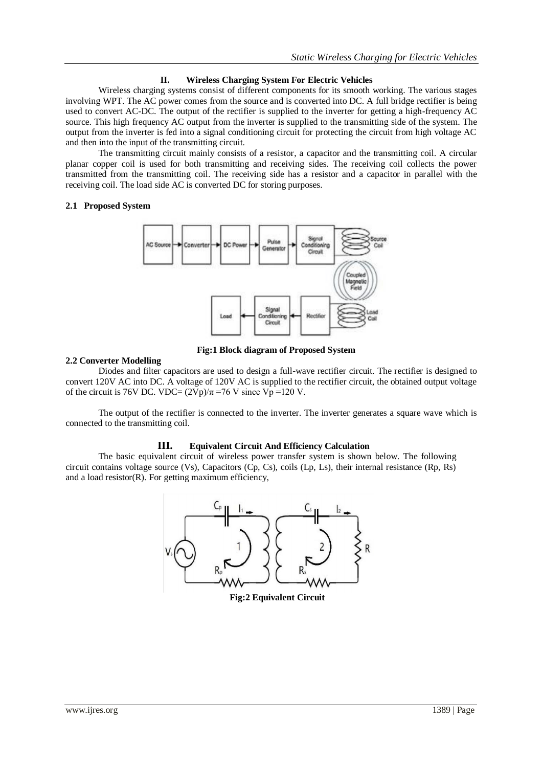# **II. Wireless Charging System For Electric Vehicles**

Wireless charging systems consist of different components for its smooth working. The various stages involving WPT. The AC power comes from the source and is converted into DC. A full bridge rectifier is being used to convert AC-DC. The output of the rectifier is supplied to the inverter for getting a high-frequency AC source. This high frequency AC output from the inverter is supplied to the transmitting side of the system. The output from the inverter is fed into a signal conditioning circuit for protecting the circuit from high voltage AC and then into the input of the transmitting circuit.

The transmitting circuit mainly consists of a resistor, a capacitor and the transmitting coil. A circular planar copper coil is used for both transmitting and receiving sides. The receiving coil collects the power transmitted from the transmitting coil. The receiving side has a resistor and a capacitor in parallel with the receiving coil. The load side AC is converted DC for storing purposes.

## **2.1 Proposed System**



**Fig:1 Block diagram of Proposed System**

## **2.2 Converter Modelling**

Diodes and filter capacitors are used to design a full-wave rectifier circuit. The rectifier is designed to convert 120V AC into DC. A voltage of 120V AC is supplied to the rectifier circuit, the obtained output voltage of the circuit is 76V DC. VDC=  $(2Vp)/\pi$ =76 V since Vp =120 V.

The output of the rectifier is connected to the inverter. The inverter generates a square wave which is connected to the transmitting coil.

## **III. Equivalent Circuit And Efficiency Calculation**

The basic equivalent circuit of wireless power transfer system is shown below. The following circuit contains voltage source (Vs), Capacitors (Cp, Cs), coils (Lp, Ls), their internal resistance (Rp, Rs) and a load resistor(R). For getting maximum efficiency,



 **Fig:2 Equivalent Circuit**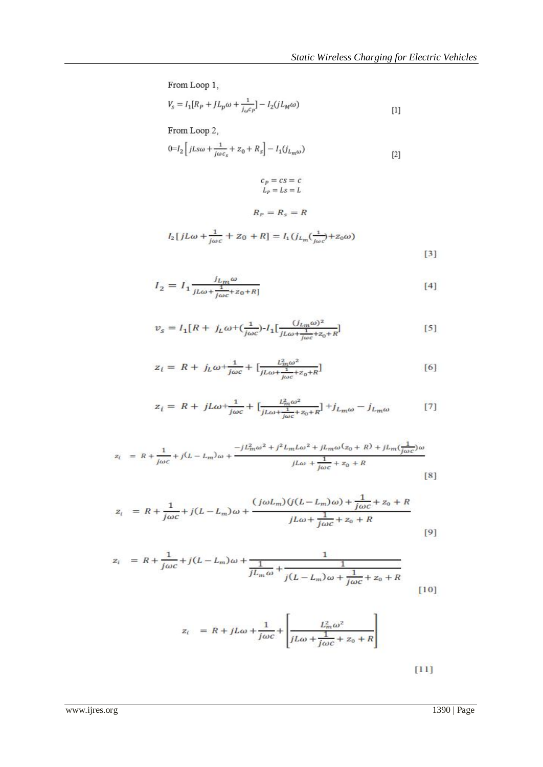From Loop 1,

$$
V_{s}=I_{1}[R_{P}+JL_{p}\omega+\frac{1}{j_{\omega}c_{P}}]-I_{2}(jL_{M}\omega)
$$
 [1]

From Loop 2,

$$
0\!\!=\!\!I_2\Bigl[\,jLs\omega+\!\frac{1}{j\omega c_s}\!+z_0\!+R_s\Bigr]-I_1\bigl(j_{L_m\omega}\bigr) \eqno[2]
$$

$$
c_P = cs = c
$$
  

$$
L_P = Ls = L
$$

 $R_P = R_s = R$ 

$$
I_2[jL\omega + \frac{1}{j\omega c} + Z_0 + R] = I_1(j_{L_m}(\frac{1}{j\omega c}) + Z_0\omega)
$$
\n[3]

$$
I_2 = I_1 \frac{j_{Lm}\omega}{j_{L\omega} + \frac{1}{j\omega c} + z_0 + R]}
$$
 [4]

$$
v_s = I_1[R + j_L\omega + (\frac{1}{j\omega c}) - I_1[\frac{(j_{Lm}\omega)^2}{jL\omega + \frac{1}{j\omega c} + z_0 + R}]
$$
 [5]

$$
z_{i} = R + j_{L}\omega + \frac{1}{j\omega c} + \left[\frac{L_{m}^{2}\omega^{2}}{j_{L}\omega + \frac{1}{j\omega c} + z_{0} + R}\right]
$$
 [6]

$$
z_{\tilde{l}} = R + jL\omega + \frac{1}{j\omega c} + \left[\frac{L_m^2 \omega^2}{jL\omega + \frac{1}{j\omega c} + z_0 + R}\right] + j_{L_m\omega} - j_{L_m\omega} \tag{7}
$$

$$
z_{\ell} = R + \frac{1}{j\omega c} + j(L - L_m)\omega + \frac{-jL_m^2\omega^2 + j^2L_mL\omega^2 + jL_m\omega(z_0 + R) + jL_m(\frac{1}{j\omega c})\omega}{jL\omega + \frac{1}{j\omega c} + z_0 + R}
$$
[8]

$$
z_{i} = R + \frac{1}{j\omega c} + j(L - L_{m})\omega + \frac{(j\omega L_{m})(j(L - L_{m})\omega) + \frac{1}{j\omega c} + z_{0} + R}{jL\omega + \frac{1}{j\omega c} + z_{0} + R}
$$
\n[9]

$$
z_{i} = R + \frac{1}{j\omega c} + j(L - L_{m})\omega + \frac{1}{jL_{m}\omega} + \frac{1}{j(L - L_{m})\omega + \frac{1}{j\omega c} + z_{0} + R}
$$
\n[10]

$$
z_i = R + jL\omega + \frac{1}{j\omega c} + \left[\frac{L_m^2 \omega^2}{jL\omega + \frac{1}{j\omega c} + z_0 + R}\right]
$$

 $[11]$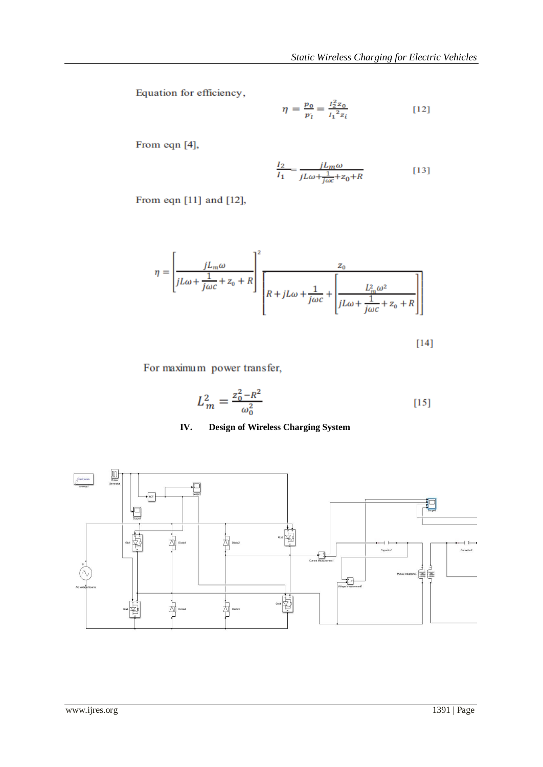Equation for efficiency,

$$
\eta = \frac{p_0}{p_l} = \frac{l_2^2 z_0}{l_1^2 z_i} \tag{12}
$$

From eqn [4],

$$
\frac{I_2}{I_1} = \frac{jL_m\omega}{jL\omega + \frac{1}{j\omega c} + z_0 + R}
$$
 [13]

From eqn [11] and [12],

$$
\eta = \left[\frac{jL_m\omega}{jL\omega + \frac{1}{j\omega c} + z_0 + R}\right]^2 \frac{z_0}{\left[R + jL\omega + \frac{1}{j\omega c} + \left[\frac{L_m^2\omega^2}{jL\omega + \frac{1}{j\omega c} + z_0 + R}\right]\right]}
$$

 $[14]$ 

For maximum power transfer,

$$
L_m^2 = \frac{z_0^2 - R^2}{\omega_0^2} \tag{15}
$$

# **IV. Design of Wireless Charging System**

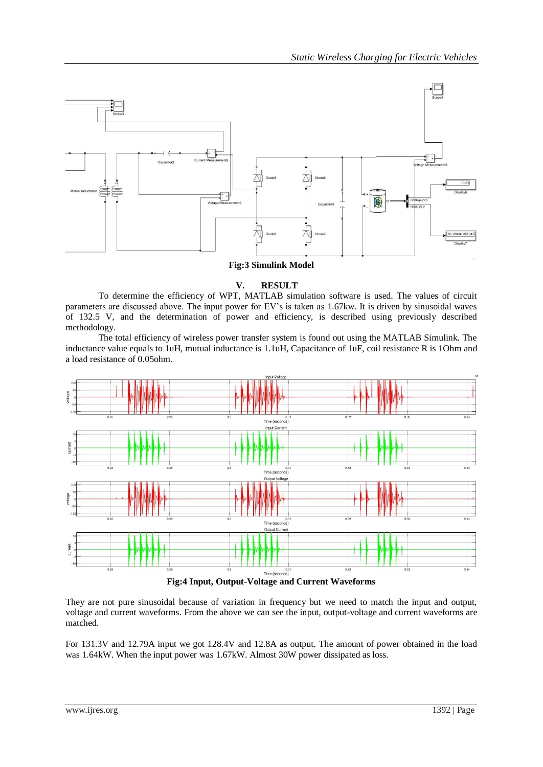

**Fig:3 Simulink Model**

## **V. RESULT**

To determine the efficiency of WPT, MATLAB simulation software is used. The values of circuit parameters are discussed above. The input power for EV's is taken as 1.67kw. It is driven by sinusoidal waves of 132.5 V, and the determination of power and efficiency, is described using previously described methodology.

The total efficiency of wireless power transfer system is found out using the MATLAB Simulink. The inductance value equals to 1uH, mutual inductance is 1.1uH, Capacitance of 1uF, coil resistance R is 1Ohm and a load resistance of 0.05ohm.



**Fig:4 Input, Output-Voltage and Current Waveforms**

They are not pure sinusoidal because of variation in frequency but we need to match the input and output, voltage and current waveforms. From the above we can see the input, output-voltage and current waveforms are matched.

For 131.3V and 12.79A input we got 128.4V and 12.8A as output. The amount of power obtained in the load was 1.64kW. When the input power was 1.67kW. Almost 30W power dissipated as loss.